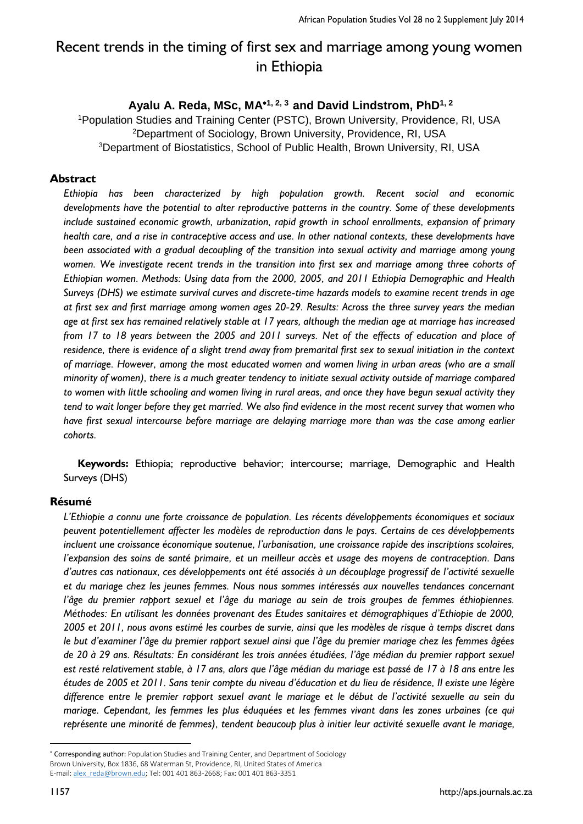# Recent trends in the timing of first sex and marriage among young women in Ethiopia

# **Ayalu A. Reda, MSc, MA1, 2, <sup>3</sup>and David Lindstrom, PhD1, 2**

<sup>1</sup>Population Studies and Training Center (PSTC), Brown University, Providence, RI, USA <sup>2</sup>Department of Sociology, Brown University, Providence, RI, USA <sup>3</sup>Department of Biostatistics, School of Public Health, Brown University, RI, USA

#### **Abstract**

*Ethiopia has been characterized by high population growth. Recent social and economic developments have the potential to alter reproductive patterns in the country. Some of these developments include sustained economic growth, urbanization, rapid growth in school enrollments, expansion of primary health care, and a rise in contraceptive access and use. In other national contexts, these developments have been associated with a gradual decoupling of the transition into sexual activity and marriage among young women. We investigate recent trends in the transition into first sex and marriage among three cohorts of Ethiopian women. Methods: Using data from the 2000, 2005, and 2011 Ethiopia Demographic and Health Surveys (DHS) we estimate survival curves and discrete-time hazards models to examine recent trends in age at first sex and first marriage among women ages 20-29. Results: Across the three survey years the median age at first sex has remained relatively stable at 17 years, although the median age at marriage has increased from 17 to 18 years between the 2005 and 2011 surveys. Net of the effects of education and place of residence, there is evidence of a slight trend away from premarital first sex to sexual initiation in the context of marriage. However, among the most educated women and women living in urban areas (who are a small minority of women), there is a much greater tendency to initiate sexual activity outside of marriage compared to women with little schooling and women living in rural areas, and once they have begun sexual activity they tend to wait longer before they get married. We also find evidence in the most recent survey that women who have first sexual intercourse before marriage are delaying marriage more than was the case among earlier cohorts.* 

 **Keywords:** Ethiopia; reproductive behavior; intercourse; marriage, Demographic and Health Surveys (DHS)

#### **Résumé**

*L'Ethiopie a connu une forte croissance de population. Les récents développements économiques et sociaux peuvent potentiellement affecter les modèles de reproduction dans le pays. Certains de ces développements incluent une croissance économique soutenue, l'urbanisation, une croissance rapide des inscriptions scolaires, l'expansion des soins de santé primaire, et un meilleur accès et usage des moyens de contraception. Dans d'autres cas nationaux, ces développements ont été associés à un découplage progressif de l'activité sexuelle et du mariage chez les jeunes femmes. Nous nous sommes intéressés aux nouvelles tendances concernant l'âge du premier rapport sexuel et l'âge du mariage au sein de trois groupes de femmes éthiopiennes. Méthodes: En utilisant les données provenant des Etudes sanitaires et démographiques d'Ethiopie de 2000, 2005 et 2011, nous avons estimé les courbes de survie, ainsi que les modèles de risque à temps discret dans le but d'examiner l'âge du premier rapport sexuel ainsi que l'âge du premier mariage chez les femmes âgées de 20 à 29 ans. Résultats: En considérant les trois années étudiées, l'âge médian du premier rapport sexuel est resté relativement stable, à 17 ans, alors que l'âge médian du mariage est passé de 17 à 18 ans entre les études de 2005 et 2011. Sans tenir compte du niveau d'éducation et du lieu de résidence, Il existe une légère difference entre le premier rapport sexuel avant le mariage et le début de l'activité sexuelle au sein du mariage. Cependant, les femmes les plus éduquées et les femmes vivant dans les zones urbaines (ce qui représente une minorité de femmes), tendent beaucoup plus à initier leur activité sexuelle avant le mariage,* 

**.** 

Corresponding author: Population Studies and Training Center, and Department of Sociology Brown University, Box 1836, 68 Waterman St, Providence, RI, United States of America E-mail[: alex\\_reda@brown.edu;](mailto:alex_reda@brown.edu) Tel: 001 401 863-2668; Fax: 001 401 863-3351

<sup>1157</sup> http://aps.journals.ac.za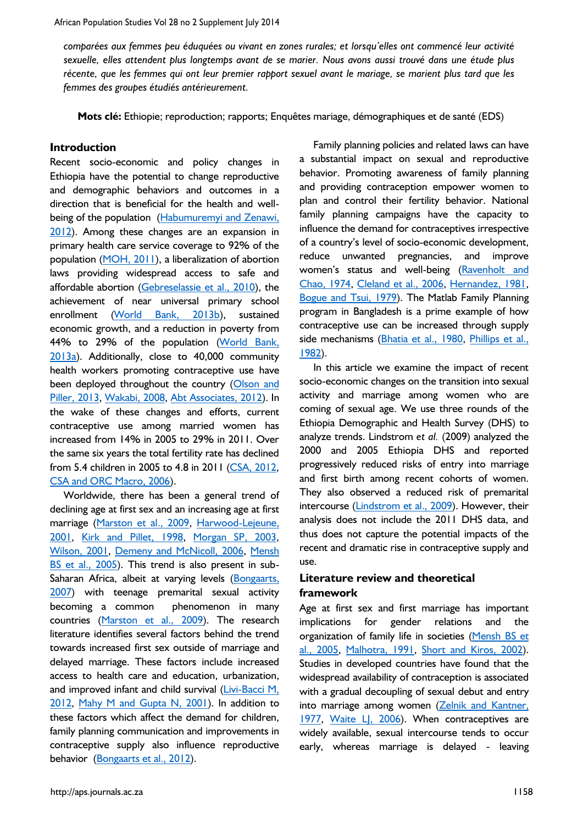*comparées aux femmes peu éduquées ou vivant en zones rurales; et lorsqu'elles ont commencé leur activité sexuelle, elles attendent plus longtemps avant de se marier. Nous avons aussi trouvé dans une étude plus récente, que les femmes qui ont leur premier rapport sexuel avant le mariage, se marient plus tard que les femmes des groupes étudiés antérieurement.*

**Mots clé:** Ethiopie; reproduction; rapports; Enquêtes mariage, démographiques et de santé (EDS)

### **Introduction**

Recent socio-economic and policy changes in Ethiopia have the potential to change reproductive and demographic behaviors and outcomes in a direction that is beneficial for the health and wellbeing of the population (Habumuremyi and Zenawi, [2012\)](#page-11-0). Among these changes are an expansion in primary health care service coverage to 92% of the population [\(MOH, 2011\)](#page-12-0), a liberalization of abortion laws providing widespread access to safe and affordable abortion [\(Gebreselassie et al., 2010\)](#page-11-1), the achievement of near universal primary school enrollment [\(World Bank, 2013b\)](#page-13-0), sustained economic growth, and a reduction in poverty from 44% to 29% of the population [\(World Bank,](#page-13-1)  [2013a\)](#page-13-1). Additionally, close to 40,000 community health workers promoting contraceptive use have been deployed throughout the country (Olson and [Piller, 2013,](#page-12-1) [Wakabi, 2008,](#page-13-2) [Abt Associates, 2012\)](#page-10-0). In the wake of these changes and efforts, current contraceptive use among married women has increased from 14% in 2005 to 29% in 2011. Over the same six years the total fertility rate has declined from 5.4 children in 2005 to 4.8 in 2011 [\(CSA, 2012,](#page-11-2) [CSA and ORC Macro, 2006\)](#page-11-3).

Worldwide, there has been a general trend of declining age at first sex and an increasing age at first marriage [\(Marston et al., 2009,](#page-12-2) [Harwood-Lejeune,](#page-11-4)  [2001,](#page-11-4) [Kirk and Pillet, 1998,](#page-11-5) [Morgan SP, 2003,](#page-12-3) [Wilson, 2001,](#page-13-3) [Demeny and McNicoll, 2006,](#page-11-6) [Mensh](#page-12-4)  [BS et al., 2005\)](#page-12-4). This trend is also present in sub-Saharan Africa, albeit at varying levels [\(Bongaarts,](#page-11-7)  [2007\)](#page-11-7) with teenage premarital sexual activity becoming a common phenomenon in many countries [\(Marston et al., 2009\)](#page-12-2). The research literature identifies several factors behind the trend towards increased first sex outside of marriage and delayed marriage. These factors include increased access to health care and education, urbanization, and improved infant and child survival (Livi-Bacci M, [2012,](#page-12-5) [Mahy M and Gupta N, 2001\)](#page-12-6). In addition to these factors which affect the demand for children, family planning communication and improvements in contraceptive supply also influence reproductive behavior [\(Bongaarts et al., 2012\)](#page-11-8).

Family planning policies and related laws can have a substantial impact on sexual and reproductive behavior. Promoting awareness of family planning and providing contraception empower women to plan and control their fertility behavior. National family planning campaigns have the capacity to influence the demand for contraceptives irrespective of a country's level of socio-economic development, reduce unwanted pregnancies, and improve women's status and well-being [\(Ravenholt and](#page-12-7)  [Chao, 1974,](#page-12-7) [Cleland et al., 2006,](#page-11-9) [Hernandez, 1981,](#page-11-10) [Bogue and Tsui, 1979\)](#page-10-1). The Matlab Family Planning program in Bangladesh is a prime example of how contraceptive use can be increased through supply side mechanisms [\(Bhatia et al., 1980,](#page-10-2) [Phillips et al.,](#page-12-8)  [1982\)](#page-12-8).

In this article we examine the impact of recent socio-economic changes on the transition into sexual activity and marriage among women who are coming of sexual age. We use three rounds of the Ethiopia Demographic and Health Survey (DHS) to analyze trends. Lindstrom *et al.* (2009) analyzed the 2000 and 2005 Ethiopia DHS and reported progressively reduced risks of entry into marriage and first birth among recent cohorts of women. They also observed a reduced risk of premarital intercourse [\(Lindstrom et al., 2009\)](#page-12-9). However, their analysis does not include the 2011 DHS data, and thus does not capture the potential impacts of the recent and dramatic rise in contraceptive supply and use.

# **Literature review and theoretical framework**

Age at first sex and first marriage has important implications for gender relations and the organization of family life in societies (Mensh BS et [al., 2005,](#page-12-4) [Malhotra, 1991,](#page-12-10) [Short and Kiros, 2002\)](#page-12-11). Studies in developed countries have found that the widespread availability of contraception is associated with a gradual decoupling of sexual debut and entry into marriage among women [\(Zelnik and Kantner,](#page-13-4)  [1977,](#page-13-4) [Waite LJ, 2006\)](#page-12-12). When contraceptives are widely available, sexual intercourse tends to occur early, whereas marriage is delayed - leaving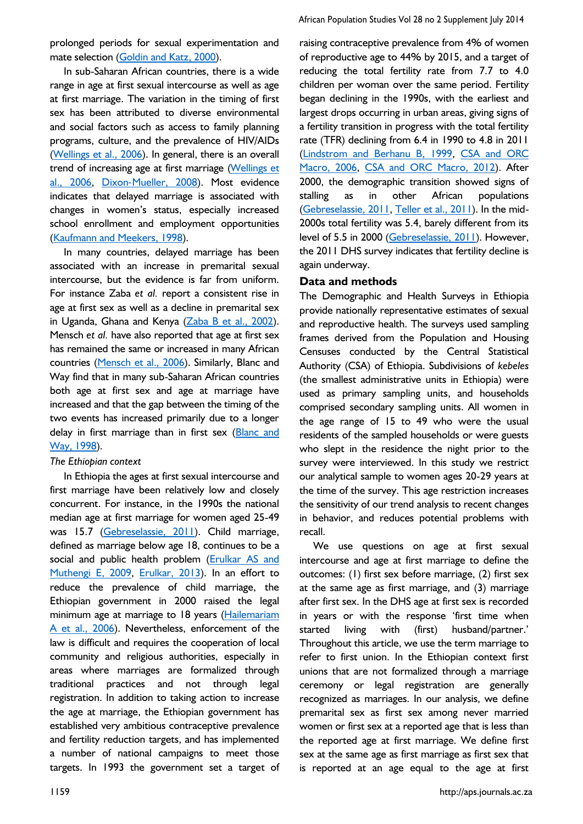prolonged periods for sexual experimentation and mate selection [\(Goldin and Katz, 2000\)](#page-11-11).

In sub-Saharan African countries, there is a wide range in age at first sexual intercourse as well as age at first marriage. The variation in the timing of first sex has been attributed to diverse environmental and social factors such as access to family planning programs, culture, and the prevalence of HIV/AIDs [\(Wellings et al., 2006\)](#page-13-5). In general, there is an overall trend of increasing age at first marriage [\(Wellings et](#page-13-5)  [al., 2006,](#page-13-5) Dixon‐[Mueller, 2008\)](#page-11-12). Most evidence indicates that delayed marriage is associated with changes in women's status, especially increased school enrollment and employment opportunities [\(Kaufmann and Meekers, 1998\)](#page-11-13).

In many countries, delayed marriage has been associated with an increase in premarital sexual intercourse, but the evidence is far from uniform. For instance Zaba *et al.* report a consistent rise in age at first sex as well as a decline in premarital sex in Uganda, Ghana and Kenya [\(Zaba B et al., 2002\)](#page-13-6). Mensch *et al.* have also reported that age at first sex has remained the same or increased in many African countries [\(Mensch et al., 2006\)](#page-12-13). Similarly, Blanc and Way find that in many sub-Saharan African countries both age at first sex and age at marriage have increased and that the gap between the timing of the two events has increased primarily due to a longer delay in first marriage than in first sex (Blanc and [Way, 1998\)](#page-10-3).

#### *The Ethiopian context*

In Ethiopia the ages at first sexual intercourse and first marriage have been relatively low and closely concurrent. For instance, in the 1990s the national median age at first marriage for women aged 25-49 was 15.7 [\(Gebreselassie, 2011\)](#page-11-14). Child marriage, defined as marriage below age 18, continues to be a social and public health problem [\(Erulkar AS and](#page-11-15)  [Muthengi E, 2009,](#page-11-15) [Erulkar, 2013\)](#page-11-16). In an effort to reduce the prevalence of child marriage, the Ethiopian government in 2000 raised the legal minimum age at marriage to 18 years (Hailemariam [A et al., 2006\)](#page-11-17). Nevertheless, enforcement of the law is difficult and requires the cooperation of local community and religious authorities, especially in areas where marriages are formalized through traditional practices and not through legal registration. In addition to taking action to increase the age at marriage, the Ethiopian government has established very ambitious contraceptive prevalence and fertility reduction targets, and has implemented a number of national campaigns to meet those targets. In 1993 the government set a target of raising contraceptive prevalence from 4% of women of reproductive age to 44% by 2015, and a target of reducing the total fertility rate from 7.7 to 4.0 children per woman over the same period. Fertility began declining in the 1990s, with the earliest and largest drops occurring in urban areas, giving signs of a fertility transition in progress with the total fertility rate (TFR) declining from 6.4 in 1990 to 4.8 in 2011 [\(Lindstrom and Berhanu B, 1999,](#page-12-14) [CSA and ORC](#page-11-3)  [Macro, 2006,](#page-11-3) [CSA and ORC Macro, 2012\)](#page-11-18). After 2000, the demographic transition showed signs of stalling as in other African populations [\(Gebreselassie, 2011,](#page-11-14) [Teller et al., 2011\)](#page-12-15). In the mid-2000s total fertility was 5.4, barely different from its level of 5.5 in 2000 [\(Gebreselassie, 2011\)](#page-11-14). However, the 2011 DHS survey indicates that fertility decline is again underway.

# **Data and methods**

The Demographic and Health Surveys in Ethiopia provide nationally representative estimates of sexual and reproductive health. The surveys used sampling frames derived from the Population and Housing Censuses conducted by the Central Statistical Authority (CSA) of Ethiopia. Subdivisions of *kebeles*  (the smallest administrative units in Ethiopia) were used as primary sampling units, and households comprised secondary sampling units. All women in the age range of 15 to 49 who were the usual residents of the sampled households or were guests who slept in the residence the night prior to the survey were interviewed. In this study we restrict our analytical sample to women ages 20-29 years at the time of the survey. This age restriction increases the sensitivity of our trend analysis to recent changes in behavior, and reduces potential problems with recall.

We use questions on age at first sexual intercourse and age at first marriage to define the outcomes: (1) first sex before marriage, (2) first sex at the same age as first marriage, and (3) marriage after first sex. In the DHS age at first sex is recorded in years or with the response 'first time when started living with (first) husband/partner.' Throughout this article, we use the term marriage to refer to first union. In the Ethiopian context first unions that are not formalized through a marriage ceremony or legal registration are generally recognized as marriages. In our analysis, we define premarital sex as first sex among never married women or first sex at a reported age that is less than the reported age at first marriage. We define first sex at the same age as first marriage as first sex that is reported at an age equal to the age at first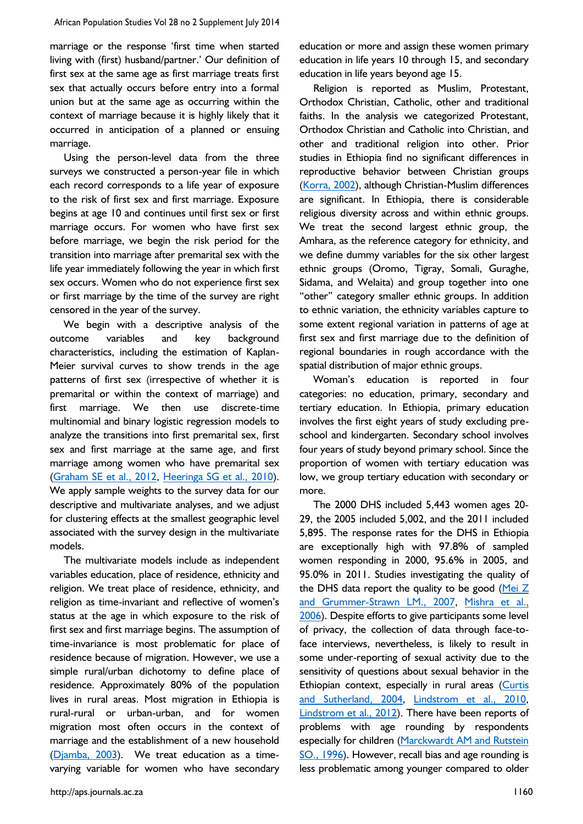marriage or the response 'first time when started living with (first) husband/partner.' Our definition of first sex at the same age as first marriage treats first sex that actually occurs before entry into a formal union but at the same age as occurring within the context of marriage because it is highly likely that it occurred in anticipation of a planned or ensuing marriage.

Using the person-level data from the three surveys we constructed a person-year file in which each record corresponds to a life year of exposure to the risk of first sex and first marriage. Exposure begins at age 10 and continues until first sex or first marriage occurs. For women who have first sex before marriage, we begin the risk period for the transition into marriage after premarital sex with the life year immediately following the year in which first sex occurs. Women who do not experience first sex or first marriage by the time of the survey are right censored in the year of the survey.

We begin with a descriptive analysis of the outcome variables and key background characteristics, including the estimation of Kaplan-Meier survival curves to show trends in the age patterns of first sex (irrespective of whether it is premarital or within the context of marriage) and first marriage. We then use discrete-time multinomial and binary logistic regression models to analyze the transitions into first premarital sex, first sex and first marriage at the same age, and first marriage among women who have premarital sex [\(Graham SE et al., 2012,](#page-11-19) [Heeringa SG et al., 2010\)](#page-11-20). We apply sample weights to the survey data for our descriptive and multivariate analyses, and we adjust for clustering effects at the smallest geographic level associated with the survey design in the multivariate models.

The multivariate models include as independent variables education, place of residence, ethnicity and religion. We treat place of residence, ethnicity, and religion as time-invariant and reflective of women's status at the age in which exposure to the risk of first sex and first marriage begins. The assumption of time-invariance is most problematic for place of residence because of migration. However, we use a simple rural/urban dichotomy to define place of residence. Approximately 80% of the population lives in rural areas. Most migration in Ethiopia is rural-rural or urban-urban, and for women migration most often occurs in the context of marriage and the establishment of a new household [\(Djamba, 2003\)](#page-11-21). We treat education as a timevarying variable for women who have secondary

education or more and assign these women primary education in life years 10 through 15, and secondary education in life years beyond age 15.

Religion is reported as Muslim, Protestant, Orthodox Christian, Catholic, other and traditional faiths. In the analysis we categorized Protestant, Orthodox Christian and Catholic into Christian, and other and traditional religion into other. Prior studies in Ethiopia find no significant differences in reproductive behavior between Christian groups [\(Korra, 2002\)](#page-11-22), although Christian-Muslim differences are significant. In Ethiopia, there is considerable religious diversity across and within ethnic groups. We treat the second largest ethnic group, the Amhara, as the reference category for ethnicity, and we define dummy variables for the six other largest ethnic groups (Oromo, Tigray, Somali, Guraghe, Sidama, and Welaita) and group together into one "other" category smaller ethnic groups. In addition to ethnic variation, the ethnicity variables capture to some extent regional variation in patterns of age at first sex and first marriage due to the definition of regional boundaries in rough accordance with the spatial distribution of major ethnic groups.

Woman's education is reported in four categories: no education, primary, secondary and tertiary education. In Ethiopia, primary education involves the first eight years of study excluding preschool and kindergarten. Secondary school involves four years of study beyond primary school. Since the proportion of women with tertiary education was low, we group tertiary education with secondary or more.

The 2000 DHS included 5,443 women ages 20- 29, the 2005 included 5,002, and the 2011 included 5,895. The response rates for the DHS in Ethiopia are exceptionally high with 97.8% of sampled women responding in 2000, 95.6% in 2005, and 95.0% in 2011. Studies investigating the quality of the DHS data report the quality to be good (Mei  $Z$ [and Grummer-Strawn LM., 2007,](#page-12-16) [Mishra et al.,](#page-12-17)  [2006\)](#page-12-17). Despite efforts to give participants some level of privacy, the collection of data through face-toface interviews, nevertheless, is likely to result in some under-reporting of sexual activity due to the sensitivity of questions about sexual behavior in the Ethiopian context, especially in rural areas [\(Curtis](#page-11-23)  [and Sutherland, 2004,](#page-11-23) [Lindstrom et al., 2010,](#page-12-18) [Lindstrom et al., 2012\)](#page-12-19). There have been reports of problems with age rounding by respondents especially for children [\(Marckwardt AM and Rutstein](#page-12-20)  [SO., 1996\)](#page-12-20). However, recall bias and age rounding is less problematic among younger compared to older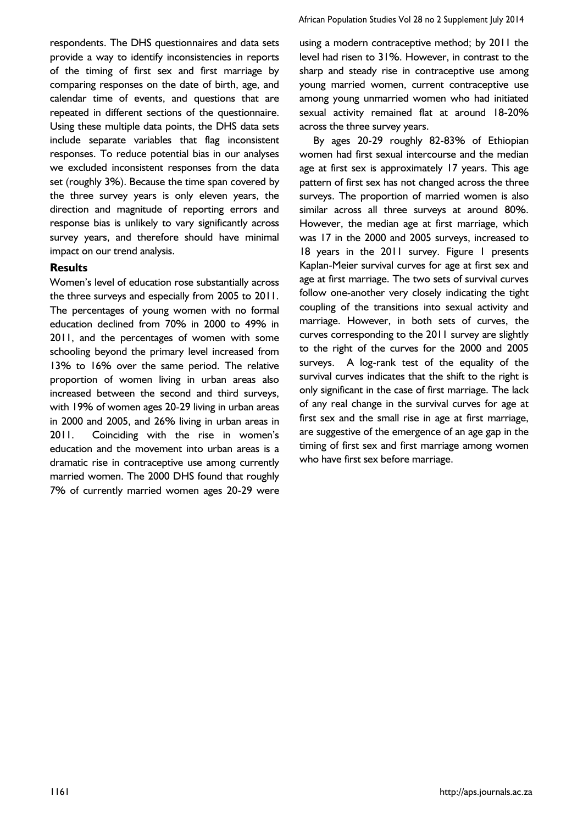respondents. The DHS questionnaires and data sets provide a way to identify inconsistencies in reports of the timing of first sex and first marriage by comparing responses on the date of birth, age, and calendar time of events, and questions that are repeated in different sections of the questionnaire. Using these multiple data points, the DHS data sets include separate variables that flag inconsistent responses. To reduce potential bias in our analyses we excluded inconsistent responses from the data set (roughly 3%). Because the time span covered by the three survey years is only eleven years, the direction and magnitude of reporting errors and response bias is unlikely to vary significantly across survey years, and therefore should have minimal impact on our trend analysis.

#### **Results**

Women's level of education rose substantially across the three surveys and especially from 2005 to 2011. The percentages of young women with no formal education declined from 70% in 2000 to 49% in 2011, and the percentages of women with some schooling beyond the primary level increased from 13% to 16% over the same period. The relative proportion of women living in urban areas also increased between the second and third surveys, with 19% of women ages 20-29 living in urban areas in 2000 and 2005, and 26% living in urban areas in 2011. Coinciding with the rise in women's education and the movement into urban areas is a dramatic rise in contraceptive use among currently married women. The 2000 DHS found that roughly 7% of currently married women ages 20-29 were

using a modern contraceptive method; by 2011 the level had risen to 31%. However, in contrast to the sharp and steady rise in contraceptive use among young married women, current contraceptive use among young unmarried women who had initiated sexual activity remained flat at around 18-20% across the three survey years.

By ages 20-29 roughly 82-83% of Ethiopian women had first sexual intercourse and the median age at first sex is approximately 17 years. This age pattern of first sex has not changed across the three surveys. The proportion of married women is also similar across all three surveys at around 80%. However, the median age at first marriage, which was 17 in the 2000 and 2005 surveys, increased to 18 years in the 2011 survey. Figure 1 presents Kaplan-Meier survival curves for age at first sex and age at first marriage. The two sets of survival curves follow one-another very closely indicating the tight coupling of the transitions into sexual activity and marriage. However, in both sets of curves, the curves corresponding to the 2011 survey are slightly to the right of the curves for the 2000 and 2005 surveys. A log-rank test of the equality of the survival curves indicates that the shift to the right is only significant in the case of first marriage. The lack of any real change in the survival curves for age at first sex and the small rise in age at first marriage, are suggestive of the emergence of an age gap in the timing of first sex and first marriage among women who have first sex before marriage.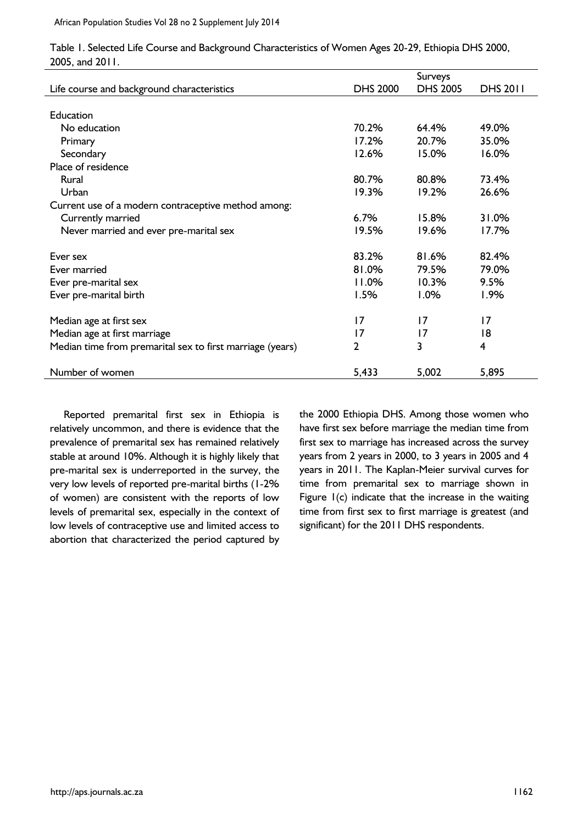|                                                           |                 | Surveys         |                 |
|-----------------------------------------------------------|-----------------|-----------------|-----------------|
| Life course and background characteristics                | <b>DHS 2000</b> | <b>DHS 2005</b> | <b>DHS 2011</b> |
|                                                           |                 |                 |                 |
| <b>Education</b>                                          |                 |                 |                 |
| No education                                              | 70.2%           | 64.4%           | 49.0%           |
| Primary                                                   | 17.2%           | 20.7%           | 35.0%           |
| Secondary                                                 | 12.6%           | 15.0%           | 16.0%           |
| Place of residence                                        |                 |                 |                 |
| Rural                                                     | 80.7%           | 80.8%           | 73.4%           |
| Urban                                                     | 19.3%           | 19.2%           | 26.6%           |
| Current use of a modern contraceptive method among:       |                 |                 |                 |
| Currently married                                         | 6.7%            | 15.8%           | 31.0%           |
| Never married and ever pre-marital sex                    | 19.5%           | 19.6%           | 17.7%           |
| Ever sex                                                  | 83.2%           | 81.6%           | 82.4%           |
| Ever married                                              | 81.0%           | 79.5%           | 79.0%           |
| Ever pre-marital sex                                      | 11.0%           | 10.3%           | 9.5%            |
| Ever pre-marital birth                                    | 1.5%            | 1.0%            | 1.9%            |
| Median age at first sex                                   | 17              | 17              | 17              |
| Median age at first marriage                              | 17              | $\overline{17}$ | 18              |
| Median time from premarital sex to first marriage (years) | $\overline{2}$  | 3               | $\overline{4}$  |
| Number of women                                           | 5,433           | 5,002           | 5,895           |

Table 1. Selected Life Course and Background Characteristics of Women Ages 20-29, Ethiopia DHS 2000, 2005, and 2011.

Reported premarital first sex in Ethiopia is relatively uncommon, and there is evidence that the prevalence of premarital sex has remained relatively stable at around 10%. Although it is highly likely that pre-marital sex is underreported in the survey, the very low levels of reported pre-marital births (1-2% of women) are consistent with the reports of low levels of premarital sex, especially in the context of low levels of contraceptive use and limited access to abortion that characterized the period captured by the 2000 Ethiopia DHS. Among those women who have first sex before marriage the median time from first sex to marriage has increased across the survey years from 2 years in 2000, to 3 years in 2005 and 4 years in 2011. The Kaplan-Meier survival curves for time from premarital sex to marriage shown in Figure  $I(c)$  indicate that the increase in the waiting time from first sex to first marriage is greatest (and significant) for the 2011 DHS respondents.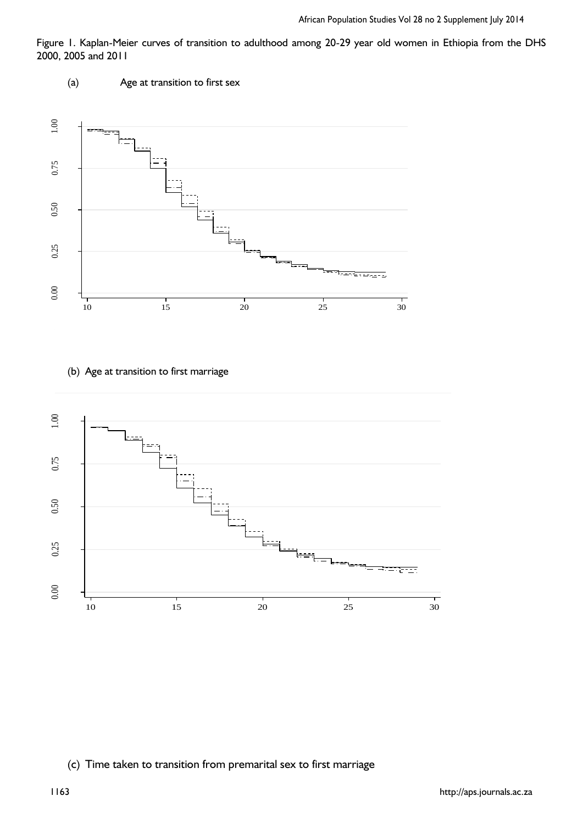Figure 1. Kaplan-Meier curves of transition to adulthood among 20-29 year old women in Ethiopia from the DHS 2000, 2005 and 2011



(b) Age at transition to first marriage



# (c) Time taken to transition from premarital sex to first marriage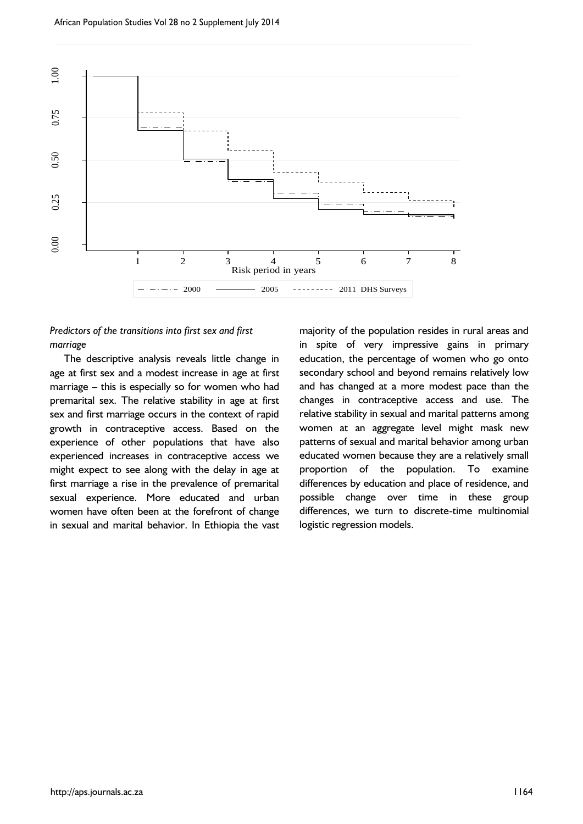

# *Predictors of the transitions into first sex and first marriage*

The descriptive analysis reveals little change in age at first sex and a modest increase in age at first marriage – this is especially so for women who had premarital sex. The relative stability in age at first sex and first marriage occurs in the context of rapid growth in contraceptive access. Based on the experience of other populations that have also experienced increases in contraceptive access we might expect to see along with the delay in age at first marriage a rise in the prevalence of premarital sexual experience. More educated and urban women have often been at the forefront of change in sexual and marital behavior. In Ethiopia the vast

majority of the population resides in rural areas and in spite of very impressive gains in primary education, the percentage of women who go onto secondary school and beyond remains relatively low and has changed at a more modest pace than the changes in contraceptive access and use. The relative stability in sexual and marital patterns among women at an aggregate level might mask new patterns of sexual and marital behavior among urban educated women because they are a relatively small proportion of the population. To examine differences by education and place of residence, and possible change over time in these group differences, we turn to discrete-time multinomial logistic regression models.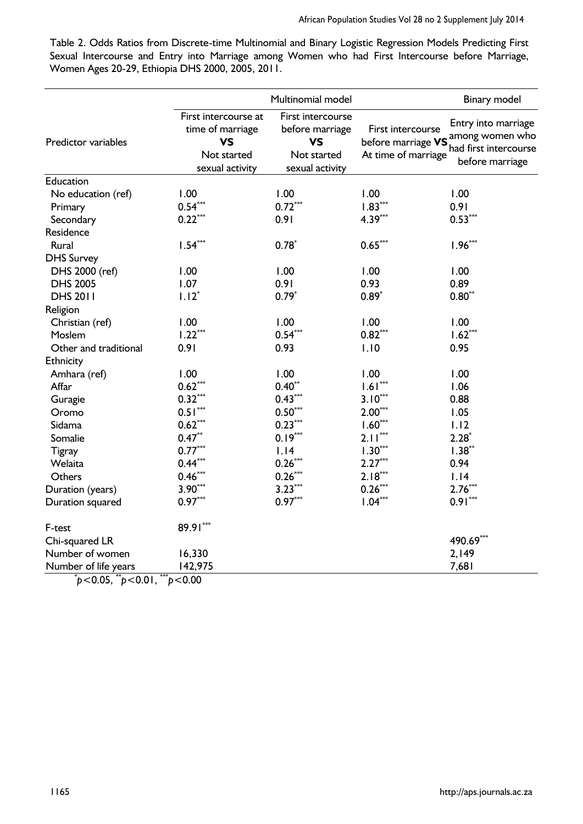Table 2. Odds Ratios from Discrete-time Multinomial and Binary Logistic Regression Models Predicting First Sexual Intercourse and Entry into Marriage among Women who had First Intercourse before Marriage, Women Ages 20-29, Ethiopia DHS 2000, 2005, 2011.

|                                                                       | Multinomial model                                                                       |                                                                                     |                                                                | Binary model                                                                       |  |
|-----------------------------------------------------------------------|-----------------------------------------------------------------------------------------|-------------------------------------------------------------------------------------|----------------------------------------------------------------|------------------------------------------------------------------------------------|--|
| Predictor variables                                                   | First intercourse at<br>time of marriage<br><b>VS</b><br>Not started<br>sexual activity | First intercourse<br>before marriage<br><b>VS</b><br>Not started<br>sexual activity | First intercourse<br>before marriage VS<br>At time of marriage | Entry into marriage<br>among women who<br>had first intercourse<br>before marriage |  |
| Education                                                             |                                                                                         |                                                                                     |                                                                |                                                                                    |  |
| No education (ref)                                                    | 1.00                                                                                    | 1.00                                                                                | 1.00                                                           | 1.00                                                                               |  |
| Primary                                                               | $0.54***$                                                                               | $0.72***$                                                                           | $1.83***$                                                      | 0.91                                                                               |  |
| Secondary                                                             | $0.22***$                                                                               | 0.91                                                                                | $4.39***$                                                      | $0.53***$                                                                          |  |
| Residence                                                             |                                                                                         |                                                                                     |                                                                |                                                                                    |  |
| Rural                                                                 | $1.54***$                                                                               | $0.78*$                                                                             | $0.65***$                                                      | $1.96***$                                                                          |  |
| <b>DHS Survey</b>                                                     |                                                                                         |                                                                                     |                                                                |                                                                                    |  |
| DHS 2000 (ref)                                                        | 1.00                                                                                    | 1.00                                                                                | 1.00                                                           | 1.00                                                                               |  |
| <b>DHS 2005</b>                                                       | 1.07                                                                                    | 0.91                                                                                | 0.93                                                           | 0.89                                                                               |  |
| <b>DHS 2011</b>                                                       | $1.12*$                                                                                 | $0.79*$                                                                             | $0.89*$                                                        | $0.80**$                                                                           |  |
| Religion                                                              |                                                                                         |                                                                                     |                                                                |                                                                                    |  |
| Christian (ref)                                                       | 1.00                                                                                    | 1.00                                                                                | 1.00                                                           | 1.00                                                                               |  |
| Moslem                                                                | $1.22***$                                                                               | $0.54***$                                                                           | $0.82***$                                                      | $1.62***$                                                                          |  |
| Other and traditional                                                 | 0.91                                                                                    | 0.93                                                                                | 1.10                                                           | 0.95                                                                               |  |
| Ethnicity                                                             |                                                                                         |                                                                                     |                                                                |                                                                                    |  |
| Amhara (ref)                                                          | 1.00                                                                                    | 1.00                                                                                | 1.00                                                           | 1.00                                                                               |  |
| Affar                                                                 | $0.62***$                                                                               | $0.40**$                                                                            | $1.61***$                                                      | 1.06                                                                               |  |
| Guragie                                                               | $0.32***$                                                                               | $0.43***$                                                                           | $3.10***$                                                      | 0.88                                                                               |  |
| Oromo                                                                 | $0.51***$                                                                               | $0.50^{\ast\ast\ast}$                                                               | $2.00***$                                                      | 1.05                                                                               |  |
| Sidama                                                                | $0.62***$                                                                               | $0.23***$                                                                           | $1.60***$                                                      | 1.12                                                                               |  |
| Somalie                                                               | $0.47***$                                                                               | $0.19***$                                                                           | $2.11***$                                                      | $2.28*$                                                                            |  |
| Tigray                                                                | $0.77***$                                                                               | 1.14                                                                                | $1.30***$                                                      | $1.38***$                                                                          |  |
| Welaita                                                               | $0.44***$                                                                               | $0.26***$                                                                           | $2.27***$                                                      | 0.94                                                                               |  |
| Others                                                                | $0.46***$                                                                               | $0.26***$                                                                           | $2.18***$                                                      | 1.14                                                                               |  |
| Duration (years)                                                      | $3.90***$                                                                               | $3.23***$                                                                           | $0.26***$                                                      | $2.76***$                                                                          |  |
| Duration squared                                                      | $0.97***$                                                                               | $0.97***$                                                                           | $1.04***$                                                      | $0.91***$                                                                          |  |
| F-test                                                                | 89.91***                                                                                |                                                                                     |                                                                |                                                                                    |  |
| Chi-squared LR                                                        |                                                                                         |                                                                                     |                                                                | 490.69***                                                                          |  |
| Number of women                                                       | 16,330                                                                                  |                                                                                     |                                                                | 2,149                                                                              |  |
| Number of life years<br>***<br>*. $\Lambda$ $\Lambda$ = **.<br>(0.01) | 142,975<br>$\sim$ 0.00                                                                  |                                                                                     |                                                                | 7,681                                                                              |  |

\* *p*<0.05, \*\**p*<0.01, \*\*\**p*<0.00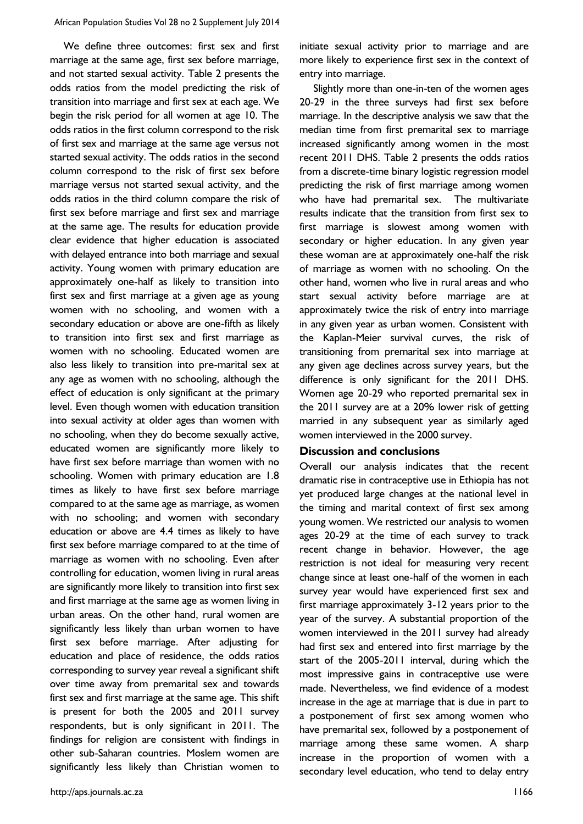We define three outcomes: first sex and first marriage at the same age, first sex before marriage, and not started sexual activity. Table 2 presents the odds ratios from the model predicting the risk of transition into marriage and first sex at each age. We begin the risk period for all women at age 10. The odds ratios in the first column correspond to the risk of first sex and marriage at the same age versus not started sexual activity. The odds ratios in the second column correspond to the risk of first sex before marriage versus not started sexual activity, and the odds ratios in the third column compare the risk of first sex before marriage and first sex and marriage at the same age. The results for education provide clear evidence that higher education is associated with delayed entrance into both marriage and sexual activity. Young women with primary education are approximately one-half as likely to transition into first sex and first marriage at a given age as young women with no schooling, and women with a secondary education or above are one-fifth as likely to transition into first sex and first marriage as women with no schooling. Educated women are also less likely to transition into pre-marital sex at any age as women with no schooling, although the effect of education is only significant at the primary level. Even though women with education transition into sexual activity at older ages than women with no schooling, when they do become sexually active, educated women are significantly more likely to have first sex before marriage than women with no schooling. Women with primary education are 1.8 times as likely to have first sex before marriage compared to at the same age as marriage, as women with no schooling; and women with secondary education or above are 4.4 times as likely to have first sex before marriage compared to at the time of marriage as women with no schooling. Even after controlling for education, women living in rural areas are significantly more likely to transition into first sex and first marriage at the same age as women living in urban areas. On the other hand, rural women are significantly less likely than urban women to have first sex before marriage. After adjusting for education and place of residence, the odds ratios corresponding to survey year reveal a significant shift over time away from premarital sex and towards first sex and first marriage at the same age. This shift is present for both the 2005 and 2011 survey respondents, but is only significant in 2011. The findings for religion are consistent with findings in other sub-Saharan countries. Moslem women are significantly less likely than Christian women to

initiate sexual activity prior to marriage and are more likely to experience first sex in the context of entry into marriage.

Slightly more than one-in-ten of the women ages 20-29 in the three surveys had first sex before marriage. In the descriptive analysis we saw that the median time from first premarital sex to marriage increased significantly among women in the most recent 2011 DHS. Table 2 presents the odds ratios from a discrete-time binary logistic regression model predicting the risk of first marriage among women who have had premarital sex. The multivariate results indicate that the transition from first sex to first marriage is slowest among women with secondary or higher education. In any given year these woman are at approximately one-half the risk of marriage as women with no schooling. On the other hand, women who live in rural areas and who start sexual activity before marriage are at approximately twice the risk of entry into marriage in any given year as urban women. Consistent with the Kaplan-Meier survival curves, the risk of transitioning from premarital sex into marriage at any given age declines across survey years, but the difference is only significant for the 2011 DHS. Women age 20-29 who reported premarital sex in the 2011 survey are at a 20% lower risk of getting married in any subsequent year as similarly aged women interviewed in the 2000 survey.

#### **Discussion and conclusions**

Overall our analysis indicates that the recent dramatic rise in contraceptive use in Ethiopia has not yet produced large changes at the national level in the timing and marital context of first sex among young women. We restricted our analysis to women ages 20-29 at the time of each survey to track recent change in behavior. However, the age restriction is not ideal for measuring very recent change since at least one-half of the women in each survey year would have experienced first sex and first marriage approximately 3-12 years prior to the year of the survey. A substantial proportion of the women interviewed in the 2011 survey had already had first sex and entered into first marriage by the start of the 2005-2011 interval, during which the most impressive gains in contraceptive use were made. Nevertheless, we find evidence of a modest increase in the age at marriage that is due in part to a postponement of first sex among women who have premarital sex, followed by a postponement of marriage among these same women. A sharp increase in the proportion of women with a secondary level education, who tend to delay entry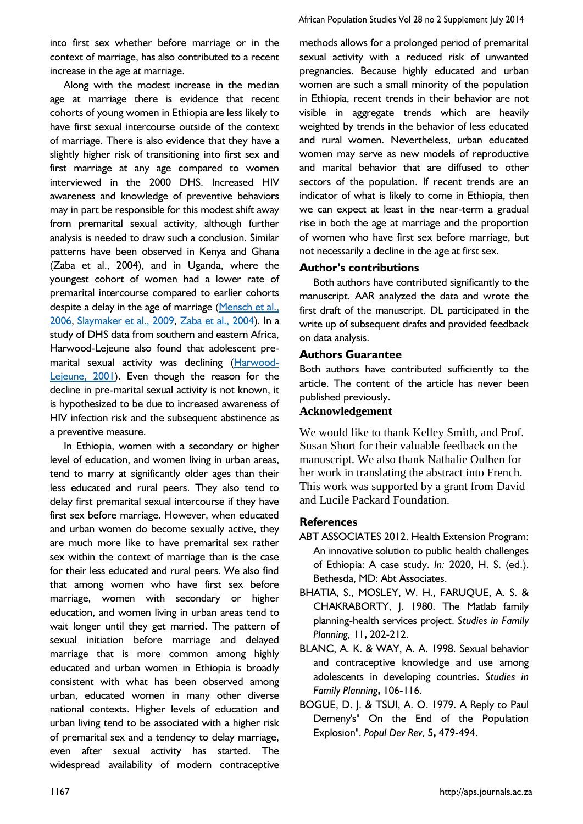into first sex whether before marriage or in the context of marriage, has also contributed to a recent increase in the age at marriage.

Along with the modest increase in the median age at marriage there is evidence that recent cohorts of young women in Ethiopia are less likely to have first sexual intercourse outside of the context of marriage. There is also evidence that they have a slightly higher risk of transitioning into first sex and first marriage at any age compared to women interviewed in the 2000 DHS. Increased HIV awareness and knowledge of preventive behaviors may in part be responsible for this modest shift away from premarital sexual activity, although further analysis is needed to draw such a conclusion. Similar patterns have been observed in Kenya and Ghana (Zaba et al., 2004), and in Uganda, where the youngest cohort of women had a lower rate of premarital intercourse compared to earlier cohorts despite a delay in the age of marriage [\(Mensch et al.,](#page-12-13)  [2006,](#page-12-13) [Slaymaker et al., 2009,](#page-12-21) [Zaba et al., 2004\)](#page-13-7). In a study of DHS data from southern and eastern Africa, Harwood-Lejeune also found that adolescent pre-marital sexual activity was declining [\(Harwood-](#page-11-4)[Lejeune, 2001\)](#page-11-4). Even though the reason for the decline in pre-marital sexual activity is not known, it is hypothesized to be due to increased awareness of HIV infection risk and the subsequent abstinence as a preventive measure.

In Ethiopia, women with a secondary or higher level of education, and women living in urban areas, tend to marry at significantly older ages than their less educated and rural peers. They also tend to delay first premarital sexual intercourse if they have first sex before marriage. However, when educated and urban women do become sexually active, they are much more like to have premarital sex rather sex within the context of marriage than is the case for their less educated and rural peers. We also find that among women who have first sex before marriage, women with secondary or higher education, and women living in urban areas tend to wait longer until they get married. The pattern of sexual initiation before marriage and delayed marriage that is more common among highly educated and urban women in Ethiopia is broadly consistent with what has been observed among urban, educated women in many other diverse national contexts. Higher levels of education and urban living tend to be associated with a higher risk of premarital sex and a tendency to delay marriage, even after sexual activity has started. The widespread availability of modern contraceptive

methods allows for a prolonged period of premarital sexual activity with a reduced risk of unwanted pregnancies. Because highly educated and urban women are such a small minority of the population in Ethiopia, recent trends in their behavior are not visible in aggregate trends which are heavily weighted by trends in the behavior of less educated and rural women. Nevertheless, urban educated women may serve as new models of reproductive and marital behavior that are diffused to other sectors of the population. If recent trends are an indicator of what is likely to come in Ethiopia, then we can expect at least in the near-term a gradual rise in both the age at marriage and the proportion of women who have first sex before marriage, but not necessarily a decline in the age at first sex.

# **Author's contributions**

Both authors have contributed significantly to the manuscript. AAR analyzed the data and wrote the first draft of the manuscript. DL participated in the write up of subsequent drafts and provided feedback on data analysis.

# **Authors Guarantee**

Both authors have contributed sufficiently to the article. The content of the article has never been published previously.

# **Acknowledgement**

We would like to thank Kelley Smith, and Prof. Susan Short for their valuable feedback on the manuscript. We also thank Nathalie Oulhen for her work in translating the abstract into French. This work was supported by a grant from David and Lucile Packard Foundation.

# **References**

- <span id="page-10-0"></span>ABT ASSOCIATES 2012. Health Extension Program: An innovative solution to public health challenges of Ethiopia: A case study. *In:* 2020, H. S. (ed.). Bethesda, MD: Abt Associates.
- <span id="page-10-2"></span>BHATIA, S., MOSLEY, W. H., FARUQUE, A. S. & CHAKRABORTY, J. 1980. The Matlab family planning-health services project. *Studies in Family Planning,* 11**,** 202-212.
- <span id="page-10-3"></span>BLANC, A. K. & WAY, A. A. 1998. Sexual behavior and contraceptive knowledge and use among adolescents in developing countries. *Studies in Family Planning***,** 106-116.
- <span id="page-10-1"></span>BOGUE, D. J. & TSUI, A. O. 1979. A Reply to Paul Demeny's" On the End of the Population Explosion". *Popul Dev Rev,* 5**,** 479-494.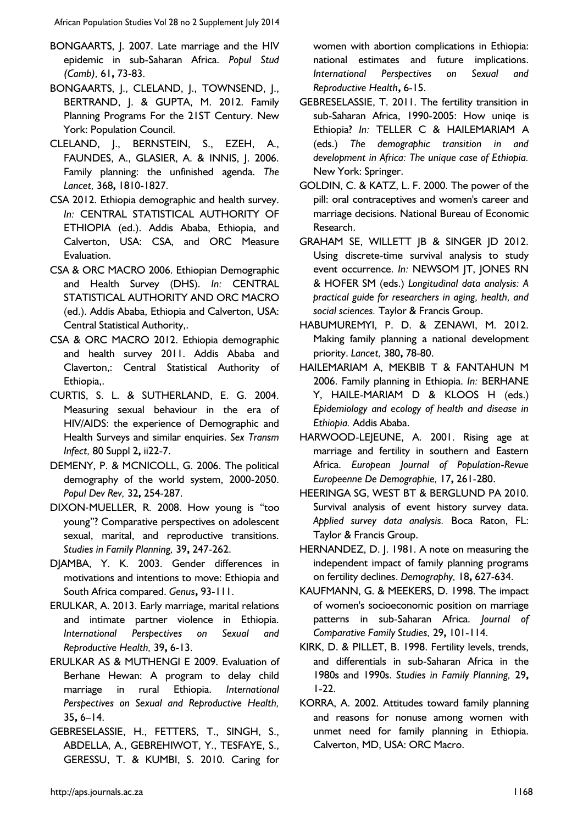African Population Studies Vol 28 no 2 Supplement July 2014

- <span id="page-11-7"></span>BONGAARTS, J. 2007. Late marriage and the HIV epidemic in sub-Saharan Africa. *Popul Stud (Camb),* 61**,** 73-83.
- <span id="page-11-8"></span>BONGAARTS, J., CLELAND, J., TOWNSEND, J., BERTRAND, J. & GUPTA, M. 2012. Family Planning Programs For the 21ST Century. New York: Population Council.
- <span id="page-11-9"></span>CLELAND, J., BERNSTEIN, S., EZEH, A., FAUNDES, A., GLASIER, A. & INNIS, J. 2006. Family planning: the unfinished agenda. *The Lancet,* 368**,** 1810-1827.
- <span id="page-11-2"></span>CSA 2012. Ethiopia demographic and health survey. *In:* CENTRAL STATISTICAL AUTHORITY OF ETHIOPIA (ed.). Addis Ababa, Ethiopia, and Calverton, USA: CSA, and ORC Measure Evaluation.
- <span id="page-11-3"></span>CSA & ORC MACRO 2006. Ethiopian Demographic and Health Survey (DHS). *In:* CENTRAL STATISTICAL AUTHORITY AND ORC MACRO (ed.). Addis Ababa, Ethiopia and Calverton, USA: Central Statistical Authority,.
- <span id="page-11-18"></span>CSA & ORC MACRO 2012. Ethiopia demographic and health survey 2011. Addis Ababa and Claverton,: Central Statistical Authority of Ethiopia,.
- <span id="page-11-23"></span>CURTIS, S. L. & SUTHERLAND, E. G. 2004. Measuring sexual behaviour in the era of HIV/AIDS: the experience of Demographic and Health Surveys and similar enquiries. *Sex Transm Infect,* 80 Suppl 2**,** ii22-7.
- <span id="page-11-6"></span>DEMENY, P. & MCNICOLL, G. 2006. The political demography of the world system, 2000-2050. *Popul Dev Rev,* 32**,** 254-287.
- <span id="page-11-12"></span>DIXON‐MUELLER, R. 2008. How young is "too young"? Comparative perspectives on adolescent sexual, marital, and reproductive transitions. *Studies in Family Planning,* 39**,** 247-262.
- <span id="page-11-21"></span>DJAMBA, Y. K. 2003. Gender differences in motivations and intentions to move: Ethiopia and South Africa compared. *Genus***,** 93-111.
- <span id="page-11-16"></span>ERULKAR, A. 2013. Early marriage, marital relations and intimate partner violence in Ethiopia. *International Perspectives on Sexual and Reproductive Health,* 39**,** 6-13.
- <span id="page-11-15"></span>ERULKAR AS & MUTHENGI E 2009. Evaluation of Berhane Hewan: A program to delay child marriage in rural Ethiopia. *International Perspectives on Sexual and Reproductive Health,* 35**,** 6–14.
- <span id="page-11-1"></span>GEBRESELASSIE, H., FETTERS, T., SINGH, S., ABDELLA, A., GEBREHIWOT, Y., TESFAYE, S., GERESSU, T. & KUMBI, S. 2010. Caring for

women with abortion complications in Ethiopia: national estimates and future implications. *International Perspectives on Sexual and Reproductive Health***,** 6-15.

- <span id="page-11-14"></span>GEBRESELASSIE, T. 2011. The fertility transition in sub-Saharan Africa, 1990-2005: How uniqe is Ethiopia? *In:* TELLER C & HAILEMARIAM A (eds.) *The demographic transition in and development in Africa: The unique case of Ethiopia.* New York: Springer.
- <span id="page-11-11"></span>GOLDIN, C. & KATZ, L. F. 2000. The power of the pill: oral contraceptives and women's career and marriage decisions. National Bureau of Economic Research.
- <span id="page-11-19"></span>GRAHAM SE, WILLETT JB & SINGER JD 2012. Using discrete-time survival analysis to study event occurrence. *In:* NEWSOM JT, JONES RN & HOFER SM (eds.) *Longitudinal data analysis: A practical guide for researchers in aging, health, and social sciences.* Taylor & Francis Group.
- <span id="page-11-0"></span>HABUMUREMYI, P. D. & ZENAWI, M. 2012. Making family planning a national development priority. *Lancet,* 380**,** 78-80.
- <span id="page-11-17"></span>HAILEMARIAM A, MEKBIB T & FANTAHUN M 2006. Family planning in Ethiopia. *In:* BERHANE Y, HAILE-MARIAM D & KLOOS H (eds.) *Epidemiology and ecology of health and disease in Ethiopia.* Addis Ababa.
- <span id="page-11-4"></span>HARWOOD-LEJEUNE, A. 2001. Rising age at marriage and fertility in southern and Eastern Africa. *European Journal of Population-Revue Europeenne De Demographie,* 17**,** 261-280.
- <span id="page-11-20"></span>HEERINGA SG, WEST BT & BERGLUND PA 2010. Survival analysis of event history survey data. *Applied survey data analysis.* Boca Raton, FL: Taylor & Francis Group.
- <span id="page-11-10"></span>HERNANDEZ, D. J. 1981. A note on measuring the independent impact of family planning programs on fertility declines. *Demography,* 18**,** 627-634.
- <span id="page-11-13"></span>KAUFMANN, G. & MEEKERS, D. 1998. The impact of women's socioeconomic position on marriage patterns in sub-Saharan Africa. *Journal of Comparative Family Studies,* 29**,** 101-114.
- <span id="page-11-5"></span>KIRK, D. & PILLET, B. 1998. Fertility levels, trends, and differentials in sub-Saharan Africa in the 1980s and 1990s. *Studies in Family Planning,* 29**,** 1-22.
- <span id="page-11-22"></span>KORRA, A. 2002. Attitudes toward family planning and reasons for nonuse among women with unmet need for family planning in Ethiopia. Calverton, MD, USA: ORC Macro.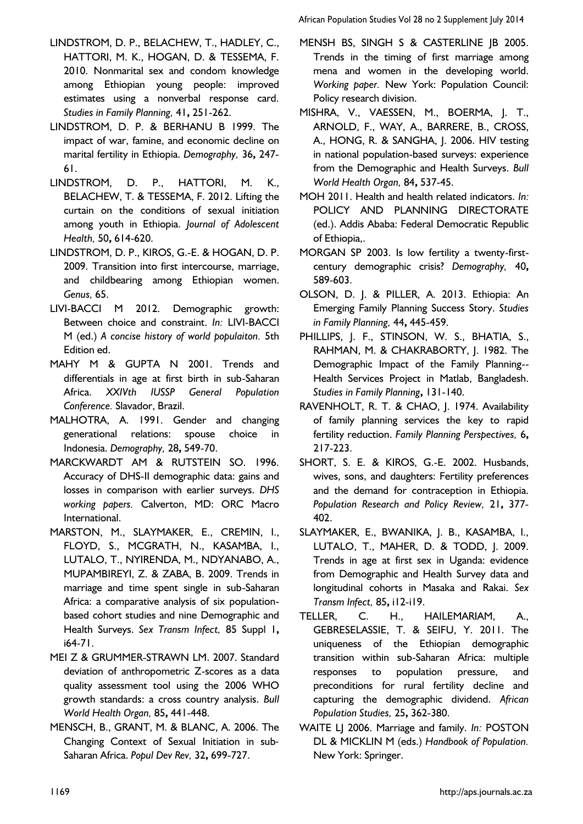African Population Studies Vol 28 no 2 Supplement July 2014

- <span id="page-12-18"></span>LINDSTROM, D. P., BELACHEW, T., HADLEY, C., HATTORI, M. K., HOGAN, D. & TESSEMA, F. 2010. Nonmarital sex and condom knowledge among Ethiopian young people: improved estimates using a nonverbal response card. *Studies in Family Planning,* 41**,** 251-262.
- <span id="page-12-14"></span>LINDSTROM, D. P. & BERHANU B 1999. The impact of war, famine, and economic decline on marital fertility in Ethiopia. *Demography,* 36**,** 247- 61.
- <span id="page-12-19"></span>LINDSTROM, D. P., HATTORI, M. K., BELACHEW, T. & TESSEMA, F. 2012. Lifting the curtain on the conditions of sexual initiation among youth in Ethiopia. *Journal of Adolescent Health,* 50**,** 614-620.
- <span id="page-12-9"></span>LINDSTROM, D. P., KIROS, G.-E. & HOGAN, D. P. 2009. Transition into first intercourse, marriage, and childbearing among Ethiopian women. *Genus,* 65.
- <span id="page-12-5"></span>LIVI-BACCI M 2012. Demographic growth: Between choice and constraint. *In:* LIVI-BACCI M (ed.) *A concise history of world populaiton.* 5th Edition ed.
- <span id="page-12-6"></span>MAHY M & GUPTA N 2001. Trends and differentials in age at first birth in sub-Saharan Africa. *XXIVth IUSSP General Population Conference.* Slavador, Brazil.
- <span id="page-12-10"></span>MALHOTRA, A. 1991. Gender and changing generational relations: spouse choice in Indonesia. *Demography,* 28**,** 549-70.
- <span id="page-12-20"></span>MARCKWARDT AM & RUTSTEIN SO. 1996. Accuracy of DHS-II demographic data: gains and losses in comparison with earlier surveys. *DHS working papers.* Calverton, MD: ORC Macro International.
- <span id="page-12-2"></span>MARSTON, M., SLAYMAKER, E., CREMIN, I., FLOYD, S., MCGRATH, N., KASAMBA, I., LUTALO, T., NYIRENDA, M., NDYANABO, A., MUPAMBIREYI, Z. & ZABA, B. 2009. Trends in marriage and time spent single in sub-Saharan Africa: a comparative analysis of six populationbased cohort studies and nine Demographic and Health Surveys. *Sex Transm Infect,* 85 Suppl 1**,** i64-71.
- <span id="page-12-16"></span>MEI Z & GRUMMER-STRAWN LM. 2007. Standard deviation of anthropometric Z-scores as a data quality assessment tool using the 2006 WHO growth standards: a cross country analysis. *Bull World Health Organ,* 85**,** 441-448.
- <span id="page-12-13"></span>MENSCH, B., GRANT, M. & BLANC, A. 2006. The Changing Context of Sexual Initiation in sub‐ Saharan Africa. *Popul Dev Rev,* 32**,** 699-727.
- <span id="page-12-4"></span>MENSH BS, SINGH S & CASTERLINE IB 2005. Trends in the timing of first marriage among mena and women in the developing world. *Working paper.* New York: Population Council: Policy research division.
- <span id="page-12-17"></span>MISHRA, V., VAESSEN, M., BOERMA, J. T., ARNOLD, F., WAY, A., BARRERE, B., CROSS, A., HONG, R. & SANGHA, J. 2006. HIV testing in national population-based surveys: experience from the Demographic and Health Surveys. *Bull World Health Organ,* 84**,** 537-45.
- <span id="page-12-0"></span>MOH 2011. Health and health related indicators. *In:* POLICY AND PLANNING DIRECTORATE (ed.). Addis Ababa: Federal Democratic Republic of Ethiopia,.
- <span id="page-12-3"></span>MORGAN SP 2003. Is low fertility a twenty-firstcentury demographic crisis? *Demography,* 40**,** 589-603.
- <span id="page-12-1"></span>OLSON, D. J. & PILLER, A. 2013. Ethiopia: An Emerging Family Planning Success Story. *Studies in Family Planning,* 44**,** 445-459.
- <span id="page-12-8"></span>PHILLIPS, J. F., STINSON, W. S., BHATIA, S., RAHMAN, M. & CHAKRABORTY, J. 1982. The Demographic Impact of the Family Planning-- Health Services Project in Matlab, Bangladesh. *Studies in Family Planning***,** 131-140.
- <span id="page-12-7"></span>RAVENHOLT, R. T. & CHAO, J. 1974. Availability of family planning services the key to rapid fertility reduction. *Family Planning Perspectives,* 6**,** 217-223.
- <span id="page-12-11"></span>SHORT, S. E. & KIROS, G.-E. 2002. Husbands, wives, sons, and daughters: Fertility preferences and the demand for contraception in Ethiopia. *Population Research and Policy Review,* 21**,** 377- 402.
- <span id="page-12-21"></span>SLAYMAKER, E., BWANIKA, J. B., KASAMBA, I., LUTALO, T., MAHER, D. & TODD, J. 2009. Trends in age at first sex in Uganda: evidence from Demographic and Health Survey data and longitudinal cohorts in Masaka and Rakai. *Sex Transm Infect,* 85**,** i12-i19.
- <span id="page-12-15"></span>TELLER, C. H., HAILEMARIAM, A., GEBRESELASSIE, T. & SEIFU, Y. 2011. The uniqueness of the Ethiopian demographic transition within sub-Saharan Africa: multiple responses to population pressure, and preconditions for rural fertility decline and capturing the demographic dividend. *African Population Studies,* 25**,** 362-380.
- <span id="page-12-12"></span>WAITE LJ 2006. Marriage and family. *In:* POSTON DL & MICKLIN M (eds.) *Handbook of Population.* New York: Springer.